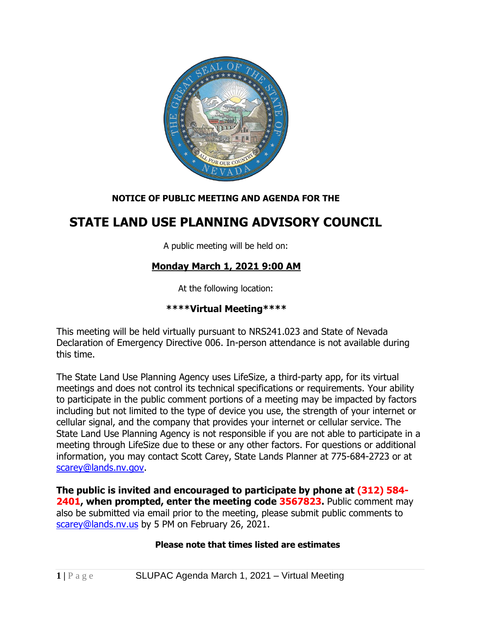

### **NOTICE OF PUBLIC MEETING AND AGENDA FOR THE**

# **STATE LAND USE PLANNING ADVISORY COUNCIL**

A public meeting will be held on:

## **Monday March 1, 2021 9:00 AM**

At the following location:

### **\*\*\*\*Virtual Meeting\*\*\*\***

This meeting will be held virtually pursuant to NRS241.023 and State of Nevada Declaration of Emergency Directive 006. In-person attendance is not available during this time.

The State Land Use Planning Agency uses LifeSize, a third-party app, for its virtual meetings and does not control its technical specifications or requirements. Your ability to participate in the public comment portions of a meeting may be impacted by factors including but not limited to the type of device you use, the strength of your internet or cellular signal, and the company that provides your internet or cellular service. The State Land Use Planning Agency is not responsible if you are not able to participate in a meeting through LifeSize due to these or any other factors. For questions or additional information, you may contact Scott Carey, State Lands Planner at 775-684-2723 or at [scarey@lands.nv.gov.](mailto:scarey@lands.nv.gov)

**The public is invited and encouraged to participate by phone at (312) 584- 2401, when prompted, enter the meeting code 3567823.** Public comment may also be submitted via email prior to the meeting, please submit public comments to [scarey@lands.nv.us](mailto:scarey@lands.nv.us) by 5 PM on February 26, 2021.

### **Please note that times listed are estimates**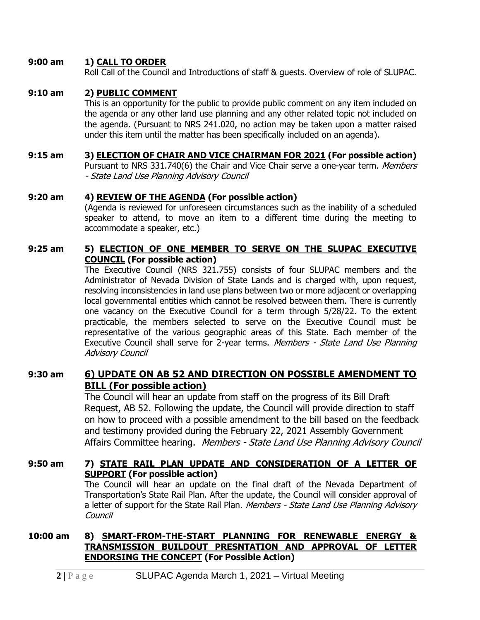#### **9:00 am 1) CALL TO ORDER**

Roll Call of the Council and Introductions of staff & guests. Overview of role of SLUPAC.

#### **9:10 am 2) PUBLIC COMMENT**

Council

This is an opportunity for the public to provide public comment on any item included on the agenda or any other land use planning and any other related topic not included on the agenda. (Pursuant to NRS 241.020, no action may be taken upon a matter raised under this item until the matter has been specifically included on an agenda).

#### **9:15 am 3) ELECTION OF CHAIR AND VICE CHAIRMAN FOR 2021 (For possible action)**

Pursuant to NRS 331.740(6) the Chair and Vice Chair serve a one-year term. Members - State Land Use Planning Advisory Council

#### **9:20 am 4) REVIEW OF THE AGENDA (For possible action)**

(Agenda is reviewed for unforeseen circumstances such as the inability of a scheduled speaker to attend, to move an item to a different time during the meeting to accommodate a speaker, etc.)

#### **9:25 am 5) ELECTION OF ONE MEMBER TO SERVE ON THE SLUPAC EXECUTIVE COUNCIL (For possible action)**

The Executive Council (NRS 321.755) consists of four SLUPAC members and the Administrator of Nevada Division of State Lands and is charged with, upon request, resolving inconsistencies in land use plans between two or more adjacent or overlapping local governmental entities which cannot be resolved between them. There is currently one vacancy on the Executive Council for a term through 5/28/22. To the extent practicable, the members selected to serve on the Executive Council must be representative of the various geographic areas of this State. Each member of the Executive Council shall serve for 2-year terms. Members - State Land Use Planning Advisory Council

### **9:30 am 6) UPDATE ON AB 52 AND DIRECTION ON POSSIBLE AMENDMENT TO BILL (For possible action)**

The Council will hear an update from staff on the progress of its Bill Draft Request, AB 52. Following the update, the Council will provide direction to staff on how to proceed with a possible amendment to the bill based on the feedback and testimony provided during the February 22, 2021 Assembly Government Affairs Committee hearing. Members - State Land Use Planning Advisory Council

#### **9:50 am 7) STATE RAIL PLAN UPDATE AND CONSIDERATION OF A LETTER OF SUPPORT (For possible action)** The Council will hear an update on the final draft of the Nevada Department of Transportation's State Rail Plan. After the update, the Council will consider approval of a letter of support for the State Rail Plan. Members - State Land Use Planning Advisory

#### **10:00 am 8) SMART-FROM-THE-START PLANNING FOR RENEWABLE ENERGY & TRANSMISSION BUILDOUT PRESNTATION AND APPROVAL OF LETTER ENDORSING THE CONCEPT (For Possible Action)**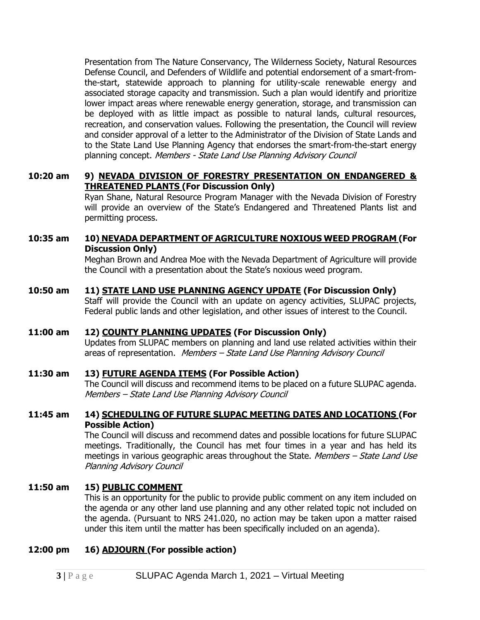Presentation from The Nature Conservancy, The Wilderness Society, Natural Resources Defense Council, and Defenders of Wildlife and potential endorsement of a smart-fromthe-start, statewide approach to planning for utility-scale renewable energy and associated storage capacity and transmission. Such a plan would identify and prioritize lower impact areas where renewable energy generation, storage, and transmission can be deployed with as little impact as possible to natural lands, cultural resources, recreation, and conservation values. Following the presentation, the Council will review and consider approval of a letter to the Administrator of the Division of State Lands and to the State Land Use Planning Agency that endorses the smart-from-the-start energy planning concept. Members - State Land Use Planning Advisory Council

#### **10:20 am 9) NEVADA DIVISION OF FORESTRY PRESENTATION ON ENDANGERED & THREATENED PLANTS (For Discussion Only)**

Ryan Shane, Natural Resource Program Manager with the Nevada Division of Forestry will provide an overview of the State's Endangered and Threatened Plants list and permitting process.

#### **10:35 am 10) NEVADA DEPARTMENT OF AGRICULTURE NOXIOUS WEED PROGRAM (For Discussion Only)**

Meghan Brown and Andrea Moe with the Nevada Department of Agriculture will provide the Council with a presentation about the State's noxious weed program.

#### **10:50 am 11) STATE LAND USE PLANNING AGENCY UPDATE (For Discussion Only)**

Staff will provide the Council with an update on agency activities, SLUPAC projects, Federal public lands and other legislation, and other issues of interest to the Council.

#### **11:00 am 12) COUNTY PLANNING UPDATES (For Discussion Only)**

Updates from SLUPAC members on planning and land use related activities within their areas of representation. Members - State Land Use Planning Advisory Council

#### **11:30 am 13) FUTURE AGENDA ITEMS (For Possible Action)**

The Council will discuss and recommend items to be placed on a future SLUPAC agenda. Members – State Land Use Planning Advisory Council

#### **11:45 am 14) SCHEDULING OF FUTURE SLUPAC MEETING DATES AND LOCATIONS (For Possible Action)**

The Council will discuss and recommend dates and possible locations for future SLUPAC meetings. Traditionally, the Council has met four times in a year and has held its meetings in various geographic areas throughout the State. Members – State Land Use Planning Advisory Council

### **11:50 am 15) PUBLIC COMMENT**

This is an opportunity for the public to provide public comment on any item included on the agenda or any other land use planning and any other related topic not included on the agenda. (Pursuant to NRS 241.020, no action may be taken upon a matter raised under this item until the matter has been specifically included on an agenda).

#### **12:00 pm 16) ADJOURN (For possible action)**